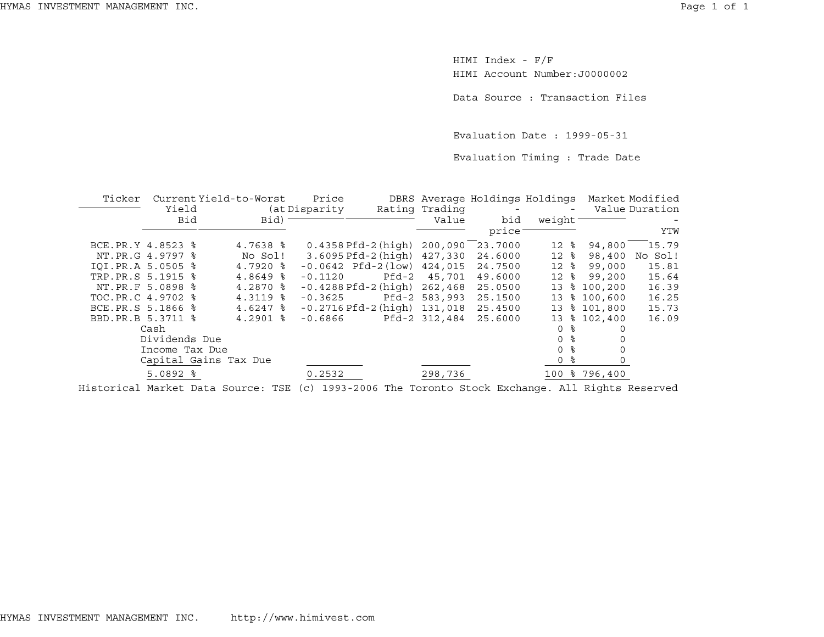HIMI Index - F/F HIMI Account Number:J0000002

Data Source : Transaction Files

Evaluation Date : 1999-05-31

Evaluation Timing : Trade Date

| Ticker            |                                                               | Current Yield-to-Worst | Price          |                                     |                | DBRS Average Holdings Holdings |                     |               | Market Modified |
|-------------------|---------------------------------------------------------------|------------------------|----------------|-------------------------------------|----------------|--------------------------------|---------------------|---------------|-----------------|
|                   | Yield                                                         |                        | (at Disparity) |                                     | Rating Trading |                                |                     |               | Value Duration  |
|                   | Bid<br>Bid)                                                   |                        |                |                                     |                | bid                            | weight <sup>-</sup> |               |                 |
|                   |                                                               |                        |                |                                     |                | price:                         |                     |               | YTW             |
| BCE.PR.Y 4.8523 % |                                                               | $4.7638$ $\frac{6}{5}$ |                | $0.4358$ Pfd-2 (high) $200,090$     |                | 23.7000                        | $12*$               | 94,800        | 15.79           |
|                   | NT.PR.G 4.9797 %                                              | No Sol!                |                | 3.6095 Pfd-2 (high) 427,330         |                | 24.6000                        | $12*$               | 98,400        | No Sol!         |
| IOI.PR.A 5.0505 % |                                                               | $4.7920$ $\frac{6}{5}$ |                | $-0.0642$ Pfd $-2$ (low) $424.015$  |                | 24.7500                        | $12*$               | 99,000        | 15.81           |
| TRP.PR.S 5.1915 % |                                                               | $4.8649$ $*$           | $-0.1120$      | Pfd-2                               | 45,701         | 49.6000                        | 12<br>ႜႂ            | 99,200        | 15.64           |
|                   | NT.PR.F 5.0898 %                                              | $4.2870$ $\frac{6}{5}$ |                | $-0.4288$ Pfd $-2$ (high) $262.468$ |                | 25.0500                        | ႜ<br>13             | 100,200       | 16.39           |
| TOC.PR.C 4.9702 % |                                                               | $4.3119$ $\frac{6}{5}$ | $-0.3625$      |                                     | Pfd-2 583,993  | 25.1500                        | 13                  | \$100,600     | 16.25           |
| BCE.PR.S 5.1866 % |                                                               | $4.6247$ $\approx$     |                | $-0.2716$ Pfd $-2$ (high) $131,018$ |                | 25.4500                        | 13                  | \$101,800     | 15.73           |
| BBD.PR.B 5.3711 % |                                                               | $4.2901$ $\approx$     | $-0.6866$      |                                     | Pfd-2 312,484  | 25.6000                        |                     | 13 % 102,400  | 16.09           |
|                   | Cash                                                          |                        |                |                                     |                |                                | °≈<br>0             |               |                 |
|                   | Dividends Due                                                 |                        |                |                                     |                |                                | °<br>$\Omega$       |               |                 |
|                   | Income Tax Due                                                |                        |                |                                     |                |                                | °<br>$\Omega$       |               |                 |
|                   |                                                               | Capital Gains Tax Due  |                |                                     |                |                                | ႜ<br>0              |               |                 |
|                   | $5.0892$ $%$                                                  |                        | 0.2532         |                                     | 298,736        |                                |                     | 100 % 796,400 |                 |
|                   | $\mathbf{r}$ , and the set of $\mathbf{r}$ , and $\mathbf{r}$ |                        |                |                                     |                |                                |                     | ---------     |                 |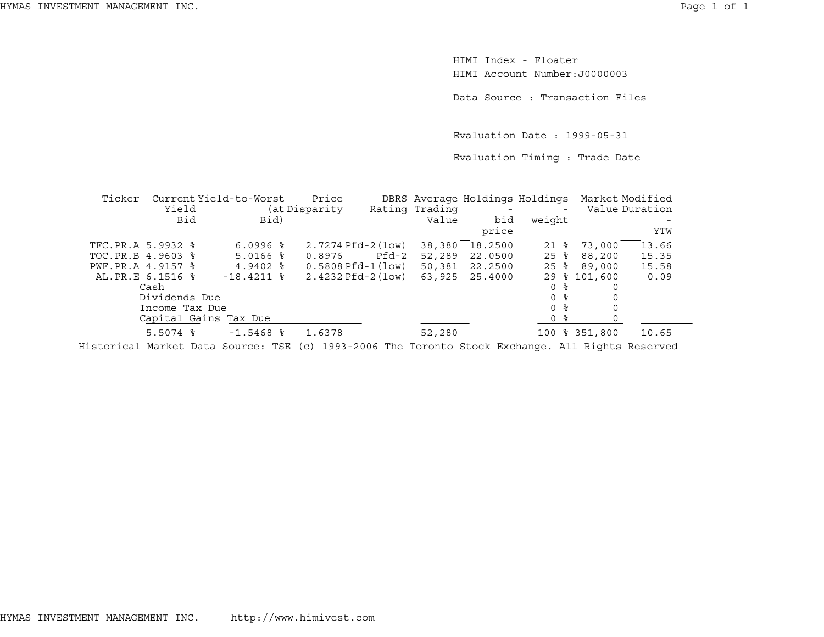HIMI Index - FloaterHIMI Account Number:J0000003

Data Source : Transaction Files

Evaluation Date : 1999-05-31

Evaluation Timing : Trade Date

| Ticker            | Yield          | Current Yield-to-Worst | Price<br>(at Disparity |       | Rating Trading | DBRS Average Holdings Holdings | $-$                | Market Modified | Value Duration |
|-------------------|----------------|------------------------|------------------------|-------|----------------|--------------------------------|--------------------|-----------------|----------------|
|                   | <b>Bid</b>     | Bid)                   |                        |       | Value          | bid                            | weight             |                 |                |
|                   |                |                        |                        |       |                | price                          |                    |                 | YTW            |
| TFC.PR.A 5.9932 % |                | $6.0996$ %             | $2.7274$ Pfd-2 (low)   |       | 38,380         | 18.2500                        | 21 %               | 73,000          | 13.66          |
| TOC.PR.B 4.9603 % |                | $5.0166$ %             | 0.8976                 | Pfd-2 | 52,289         | 22.0500                        | $25$ $\frac{6}{5}$ | 88,200          | 15.35          |
| PWF.PR.A 4.9157 % |                | $4.9402$ $\frac{6}{5}$ | $0.5808$ Pfd-1 $(low)$ |       | 50,381         | 22.2500                        | $25$ %             | 89,000          | 15.58          |
| AL.PR.E 6.1516 %  |                | $-18.4211$ %           | $2.4232$ Pfd-2 (low)   |       | 63,925         | 25.4000                        | 29                 | \$101,600       | 0.09           |
|                   | Cash           |                        |                        |       |                |                                | 0 %                | 0               |                |
|                   | Dividends Due  |                        |                        |       |                |                                | በ ፦                |                 |                |
|                   | Income Tax Due |                        |                        |       |                |                                | በ ፦                |                 |                |
|                   |                | Capital Gains Tax Due  |                        |       |                |                                | 0 %                |                 |                |
|                   | $5.5074$ %     | $-1.5468$ %            | 1.6378                 |       | 52,280         |                                |                    | 100 % 351,800   | 10.65          |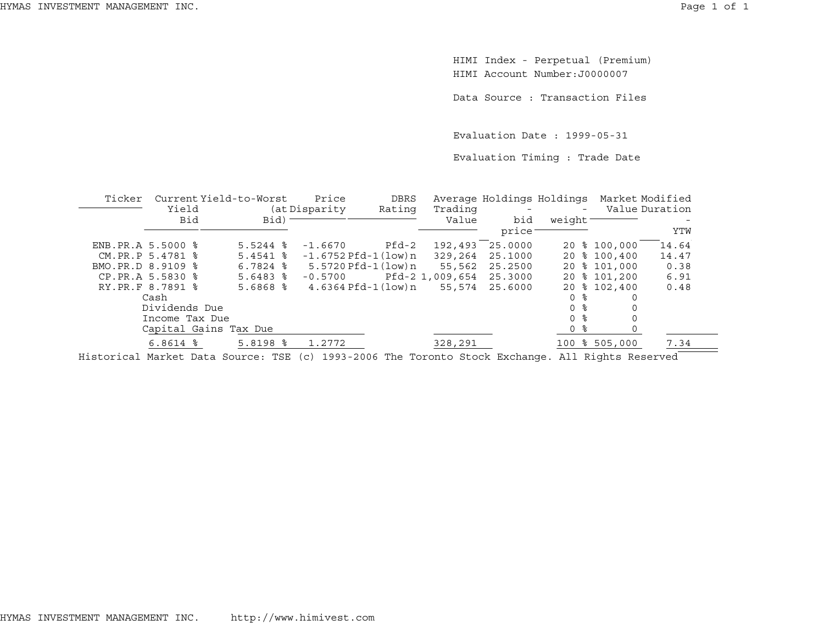HIMI Index - Perpetual (Premium) HIMI Account Number:J0000007

Data Source : Transaction Files

Evaluation Date : 1999-05-31

Evaluation Timing : Trade Date

| Ticker |                     | Current Yield-to-Worst | Price               | DBRS               |         | Average Holdings Holdings Market Modified |                |               |                |
|--------|---------------------|------------------------|---------------------|--------------------|---------|-------------------------------------------|----------------|---------------|----------------|
|        | Yield               | (at Disparity)         |                     | Rating             | Trading |                                           |                |               | Value Duration |
|        | <b>Bid</b>          |                        | Bid)                |                    | Value   | bid                                       | weight-        |               |                |
|        |                     |                        |                     |                    |         | price                                     |                |               | YTW            |
|        | ENB. PR. A 5.5000 % | $5.5244$ %             | $-1.6670$           | Pfd-2              | 192,493 | 25,0000                                   |                | 20 % 100,000  | 14.64          |
|        | CM.PR.P 5.4781 %    | $5.4541$ $8$           | -1.6752 Pfd-1(low)n |                    | 329,264 | 25.1000                                   |                | 20 % 100,400  | 14.47          |
|        | BMO.PR.D 8.9109 %   | $6.7824$ $\frac{8}{8}$ |                     |                    | 55,562  | 25.2500                                   |                | 20 % 101,000  | 0.38           |
|        | CP.PR.A 5.5830 %    | $5.6483$ $\frac{8}{3}$ | $-0.5700$           | Pfd-2 1,009,654    |         | 25.3000                                   |                | 20 % 101,200  | 6.91           |
|        | RY.PR.F 8.7891 %    | $5.6868$ $%$           |                     | 4.6364 Pfd-1(low)n | 55,574  | 25.6000                                   |                | 20 % 102,400  | 0.48           |
|        | Cash                |                        |                     |                    |         |                                           | 0 %            |               |                |
|        | Dividends Due       |                        |                     |                    |         |                                           | 0 <sup>8</sup> |               |                |
|        | Income Tax Due      |                        |                     |                    |         |                                           | - 옹<br>0       |               |                |
|        |                     | Capital Gains Tax Due  |                     |                    |         |                                           | 0 %            |               |                |
|        | $6.8614$ $%$        | $5.8198$ $%$           | 1.2772              |                    | 328,291 |                                           |                | 100 % 505,000 | 7.34           |
|        |                     |                        |                     |                    |         |                                           |                |               |                |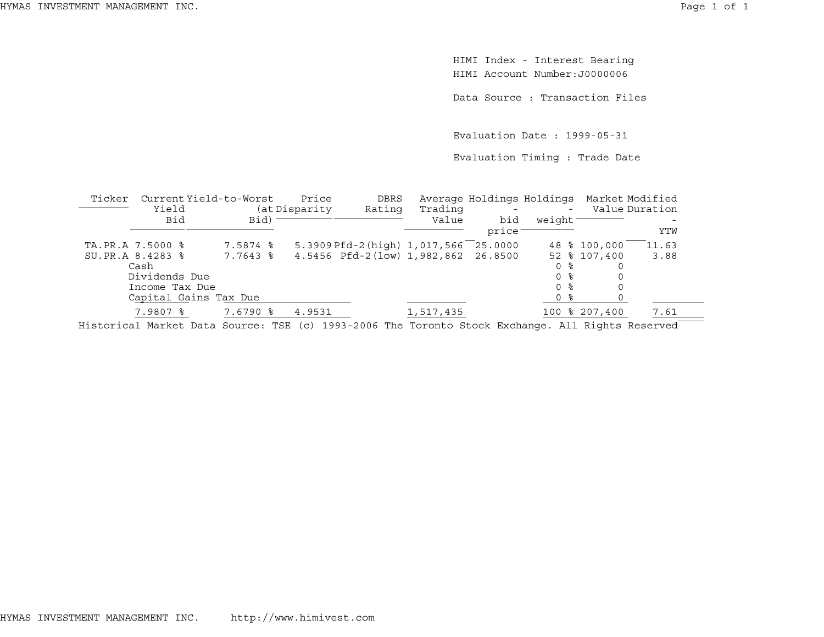HIMI Index - Interest Bearing HIMI Account Number:J0000006

Data Source : Transaction Files

Evaluation Date : 1999-05-31

Evaluation Timing : Trade Date

| Ticker           | Current Yield-to-Worst                                                                                                                                                                                                                  |  |                        |           | Price                                                                                                                                                                                                                                                                                                               | DBRS   |                  | Average Holdings Holdings Market Modified |                     |     |                |       |      |
|------------------|-----------------------------------------------------------------------------------------------------------------------------------------------------------------------------------------------------------------------------------------|--|------------------------|-----------|---------------------------------------------------------------------------------------------------------------------------------------------------------------------------------------------------------------------------------------------------------------------------------------------------------------------|--------|------------------|-------------------------------------------|---------------------|-----|----------------|-------|------|
|                  | Yield<br>Bid                                                                                                                                                                                                                            |  |                        | $Bid$ ) – | (at Disparity                                                                                                                                                                                                                                                                                                       | Rating | Trading<br>Value | bid<br>price                              | weight <sup>-</sup> |     | Value Duration |       | YTW  |
| TA.PR.A 7.5000 % |                                                                                                                                                                                                                                         |  | 7.5874 %               |           |                                                                                                                                                                                                                                                                                                                     |        |                  | 5.3909 Pfd-2 (high) 1,017,566 25.0000     |                     |     | 48 % 100,000   | 11.63 |      |
| SU.PR.A 8.4283 % |                                                                                                                                                                                                                                         |  | 7.7643 %               |           |                                                                                                                                                                                                                                                                                                                     |        |                  | 4.5456 Pfd-2(low) 1,982,862 26.8500       |                     |     | 52 % 107,400   |       | 3.88 |
|                  | Cash                                                                                                                                                                                                                                    |  |                        |           |                                                                                                                                                                                                                                                                                                                     |        |                  |                                           |                     |     |                |       |      |
|                  | Dividends Due                                                                                                                                                                                                                           |  |                        |           |                                                                                                                                                                                                                                                                                                                     |        |                  |                                           | 0 %                 |     |                |       |      |
|                  | Income Tax Due                                                                                                                                                                                                                          |  |                        |           |                                                                                                                                                                                                                                                                                                                     |        |                  |                                           | 0 %                 |     |                |       |      |
|                  | Capital Gains Tax Due                                                                                                                                                                                                                   |  |                        |           |                                                                                                                                                                                                                                                                                                                     |        |                  |                                           |                     | 0 % |                |       |      |
|                  | 7.9807 %                                                                                                                                                                                                                                |  | $7.6790$ $\frac{6}{5}$ |           | 4.9531                                                                                                                                                                                                                                                                                                              |        | 1,517,435        |                                           |                     |     | 100 % 207,400  |       | 7.61 |
| --               | $\mathcal{A}$ and $\mathcal{A}$ are the contract of the contract of the contract of the contract of the contract of the contract of the contract of the contract of the contract of the contract of the contract of the contract of the |  |                        |           | $\frac{1}{2}$ $\frac{1}{2}$ $\frac{1}{2}$ $\frac{1}{2}$ $\frac{1}{2}$ $\frac{1}{2}$ $\frac{1}{2}$ $\frac{1}{2}$ $\frac{1}{2}$ $\frac{1}{2}$ $\frac{1}{2}$ $\frac{1}{2}$ $\frac{1}{2}$ $\frac{1}{2}$ $\frac{1}{2}$ $\frac{1}{2}$ $\frac{1}{2}$ $\frac{1}{2}$ $\frac{1}{2}$ $\frac{1}{2}$ $\frac{1}{2}$ $\frac{1}{2}$ |        |                  |                                           |                     |     | _________      |       |      |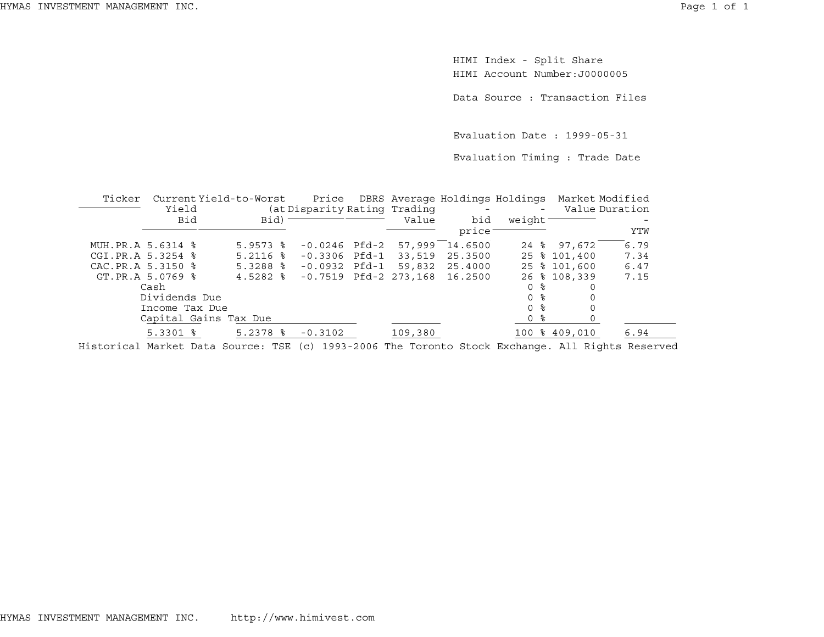HIMI Index - Split Share HIMI Account Number:J0000005

Data Source : Transaction Files

Evaluation Date : 1999-05-31

Evaluation Timing : Trade Date

| Ticker            |                   | Current Yield-to-Worst |                              |                         | Price DBRS Average Holdings Holdings |                     |               | Market Modified |
|-------------------|-------------------|------------------------|------------------------------|-------------------------|--------------------------------------|---------------------|---------------|-----------------|
|                   | Yield             |                        | (at Disparity Rating Trading |                         | <b>Contract Contract</b>             | $\sim$ 100 $\mu$    |               | Value Duration  |
|                   | Bid               | $Bid$ ) -              |                              | Value                   | bid                                  | weight <sup>-</sup> |               |                 |
|                   |                   |                        |                              |                         | price:                               |                     |               | YTW             |
| MUH.PR.A 5.6314 % |                   | $5.9573$ $\frac{6}{5}$ | -0.0246 Pfd-2                | 57,999                  | 14.6500                              |                     | 24 % 97,672   | 6.79            |
| CGI.PR.A 5.3254 % |                   | $5.2116$ $\frac{6}{5}$ | $-0.3306$ Pfd $-1$           | 33,519                  | 25.3500                              |                     | 25 % 101,400  | 7.34            |
|                   | CAC.PR.A 5.3150 % | $5.3288$ $\frac{8}{8}$ | -0.0932 Pfd-1                | 59,832                  | 25.4000                              |                     | 25 % 101,600  | 6.47            |
|                   | GT.PR.A 5.0769 %  | $4.5282$ 8             |                              | $-0.7519$ Pfd-2 273,168 | 16.2500                              |                     | 26 % 108,339  | 7.15            |
|                   | Cash              |                        |                              |                         |                                      | 0 %                 |               |                 |
|                   | Dividends Due     |                        |                              |                         |                                      | 0 ፦                 |               |                 |
|                   | Income Tax Due    |                        |                              |                         |                                      | 0 %                 |               |                 |
|                   |                   | Capital Gains Tax Due  |                              |                         |                                      | 0 %                 |               |                 |
|                   | $5.3301$ $8$      | $5.2378$ $\frac{6}{5}$ | $-0.3102$                    | 109,380                 |                                      |                     | 100 % 409,010 | 6.94            |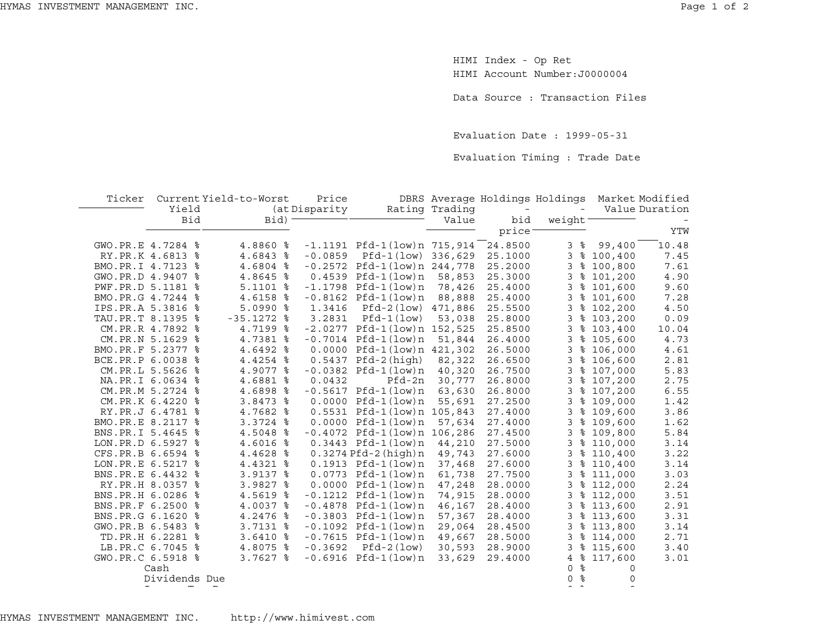HIMI Index - Op Ret HIMI Account Number:J0000004

Data Source : Transaction Files

Evaluation Date : 1999-05-31

Evaluation Timing : Trade Date

| Ticker              |               | Current Yield-to-Worst | Price         |                                   |                | DBRS Average Holdings Holdings |                     |           | Market Modified |
|---------------------|---------------|------------------------|---------------|-----------------------------------|----------------|--------------------------------|---------------------|-----------|-----------------|
|                     | Yield         |                        | (at Disparity |                                   | Rating Trading | $\overline{\phantom{a}}$       |                     |           | Value Duration  |
|                     | Bid           | Bid) <sup>-</sup>      |               |                                   | Value          | bid                            | weight <sup>-</sup> |           |                 |
|                     |               |                        |               |                                   |                | price <sup>-</sup>             |                     |           | YTW             |
| GWO.PR.E 4.7284 %   |               | 4.8860 %               |               | $-1.1191$ Pfd $-1$ (low)n 715,914 |                | 24.8500                        | 3%                  | 99,400    | 10.48           |
| RY.PR.K 4.6813 %    |               | 4.6843 %               | $-0.0859$     | Pfd-1(low) 336,629                |                | 25.1000                        | 3                   | \$100,400 | 7.45            |
| BMO.PR.I 4.7123 %   |               | 4.6804 %               |               | $-0.2572$ Pfd $-1$ (low)n 244,778 |                | 25.2000                        | 3                   | \$100,800 | 7.61            |
| GWO.PR.D 4.9407 %   |               | 4.8645 %               |               | $0.4539$ Pfd-1 $(low)n$           | 58,853         | 25.3000                        | 3                   | \$101,200 | 4.90            |
| PWF.PR.D 5.1181 %   |               | $5.1101$ %             |               | $-1.1798$ Pfd $-1$ (low)n         | 78,426         | 25.4000                        | 3                   | \$101,600 | 9.60            |
| BMO.PR.G 4.7244 %   |               | 4.6158 %               |               | $-0.8162$ Pfd $-1$ (low)n         | 88,888         | 25.4000                        | 3                   | \$101,600 | 7.28            |
| IPS.PR.A 5.3816 %   |               | $5.0990$ %             | 1.3416        | Pfd-2(low) 471,886                |                | 25.5500                        | 3                   | \$102,200 | 4.50            |
| TAU.PR.T 8.1395 %   |               | $-35.1272$ %           | 3.2831        | $Pfd-1 (low)$                     | 53,038         | 25.8000                        | 3                   | \$103,200 | 0.09            |
| CM.PR.R 4.7892 %    |               | 4.7199 %               |               | $-2.0277$ Pfd-1(low)n 152,525     |                | 25.8500                        | 3                   | \$103,400 | 10.04           |
| CM.PR.N 5.1629 %    |               | 4.7381 %               |               | $-0.7014$ Pfd $-1$ (low)n         | 51,844         | 26.4000                        | 3                   | \$105,600 | 4.73            |
| BMO.PR.F 5.2377 %   |               | 4.6492 %               |               | 0.0000 Pfd-1(low)n 421,302        |                | 26.5000                        | 3                   | \$106,000 | 4.61            |
| BCE.PR.P 6.0038 %   |               | 4.4254 %               |               | $0.5437$ Pfd-2(high)              | 82,322         | 26.6500                        | 3                   | \$106,600 | 2.81            |
| CM.PR.L 5.5626 %    |               | 4.9077 %               |               | $-0.0382$ Pfd $-1$ (low)n         | 40,320         | 26.7500                        | 3                   | \$107,000 | 5.83            |
| NA.PR.I 6.0634 %    |               | 4.6881 %               | 0.0432        | Pfd-2n                            | 30,777         | 26.8000                        | 3                   | \$107,200 | 2.75            |
| CM.PR.M 5.2724 %    |               | 4.6898 %               |               | $-0.5617$ Pfd $-1$ (low)n         | 63,630         | 26.8000                        | 3                   | \$107,200 | 6.55            |
| CM.PR.K 6.4220 %    |               | $3.8473$ $8$           |               | $0.0000$ Pfd-1 $(low)$ n          | 55,691         | 27.2500                        | 3                   | \$109,000 | 1.42            |
| RY.PR.J 6.4781 %    |               | 4.7682 %               |               | 0.5531 Pfd-1(low)n 105,843        |                | 27.4000                        | 3                   | \$109,600 | 3.86            |
| BMO.PR.E 8.2117 %   |               | $3.3724$ $8$           |               | $0.0000$ Pfd-1 $(low)$ n          | 57,634         | 27.4000                        | 3                   | \$109,600 | 1.62            |
| BNS.PR.I 5.4645 %   |               | 4.5048 %               |               | $-0.4072$ Pfd $-1$ (low)n 106,286 |                | 27.4500                        | 3                   | \$109,800 | 5.84            |
| LON.PR.D 6.5927 %   |               | 4.6016 %               |               | $0.3443$ Pfd-1(low)n              | 44,210         | 27.5000                        | 3                   | \$110,000 | 3.14            |
| CFS.PR.B 6.6594 %   |               | 4.4628 %               |               | $0.3274$ Pfd-2 $(high)$ n         | 49,743         | 27.6000                        | 3                   | \$110,400 | 3.22            |
| LON. PR. E 6.5217 % |               | 4.4321 %               |               | $0.1913$ Pfd-1(low)n              | 37,468         | 27.6000                        | 3                   | \$110,400 | 3.14            |
| BNS.PR.E 6.4432 %   |               | 3.9137 %               |               | $0.0773$ Pfd-1 $(low)n$           | 61,738         | 27.7500                        | 3                   | \$111,000 | 3.03            |
| RY.PR.H 8.0357 %    |               | 3.9827 %               |               | $0.0000$ Pfd-1 $(low)$ n          | 47,248         | 28.0000                        | 3                   | \$112,000 | 2.24            |
| BNS.PR.H 6.0286 %   |               | 4.5619 %               |               | $-0.1212$ Pfd-1(low)n             | 74,915         | 28.0000                        | 3                   | \$112,000 | 3.51            |
| BNS.PR.F 6.2500 %   |               | 4.0037 %               |               | $-0.4878$ Pfd $-1$ (low)n         | 46,167         | 28.4000                        | 3                   | \$113,600 | 2.91            |
| BNS.PR.G 6.1620 %   |               | 4.2476 %               |               | $-0.3803$ Pfd-1(low)n             | 57,367         | 28.4000                        | 3                   | \$113,600 | 3.31            |
| GWO.PR.B 6.5483 %   |               | 3.7131 %               |               | $-0.1092$ Pfd-1(low)n             | 29,064         | 28.4500                        | 3                   | \$113,800 | 3.14            |
| TD.PR.H 6.2281 %    |               | $3.6410$ $8$           |               | $-0.7615$ Pfd $-1$ (low)n         | 49,667         | 28.5000                        | 3                   | \$114,000 | 2.71            |
| LB.PR.C 6.7045 %    |               | 4.8075 %               | $-0.3692$     | $Pfd-2 (low)$                     | 30,593         | 28.9000                        | 3                   | \$115,600 | 3.40            |
| GWO.PR.C 6.5918 %   |               | $3.7627$ $\frac{8}{5}$ |               | $-0.6916$ Pfd $-1$ (low)n         | 33,629         | 29.4000                        | 4                   | \$117,600 | 3.01            |
|                     | Cash          |                        |               |                                   |                |                                | ႜ<br>$\mathbf 0$    | 0         |                 |
|                     | Dividends Due |                        |               |                                   |                |                                | နွ<br>$\Omega$      | $\Omega$  |                 |
|                     |               |                        |               |                                   |                |                                |                     |           |                 |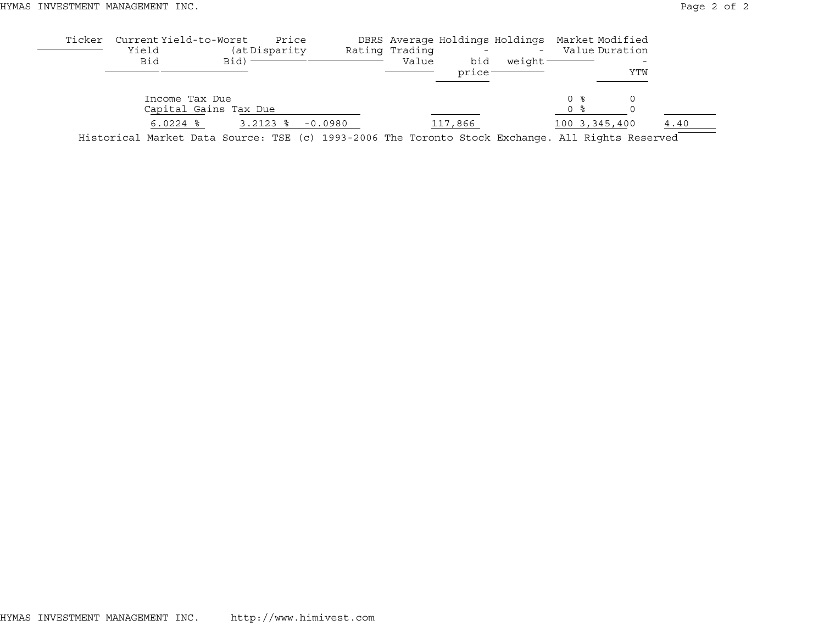| Ticker | Current Yield-to-Worst<br>Yield<br>Bid                                                           | Bid)                  | Price<br>(at Disparity |           | Rating Trading<br>Value | bid<br>price: | DBRS Average Holdings Holdings Market Modified<br>$\overline{\phantom{a}}$<br>weight |            | Value Duration  | YTW |      |
|--------|--------------------------------------------------------------------------------------------------|-----------------------|------------------------|-----------|-------------------------|---------------|--------------------------------------------------------------------------------------|------------|-----------------|-----|------|
|        | Income Tax Due                                                                                   | Capital Gains Tax Due |                        |           |                         |               |                                                                                      | 0 %<br>0 % |                 |     |      |
|        | $6.0224$ $\frac{8}{3}$                                                                           |                       | $3.2123$ $8$           | $-0.0980$ |                         | 117,866       |                                                                                      |            | 100 3, 345, 400 |     | 4.40 |
|        | Historical Market Data Source: TSE (c) 1993-2006 The Toronto Stock Exchange. All Rights Reserved |                       |                        |           |                         |               |                                                                                      |            |                 |     |      |